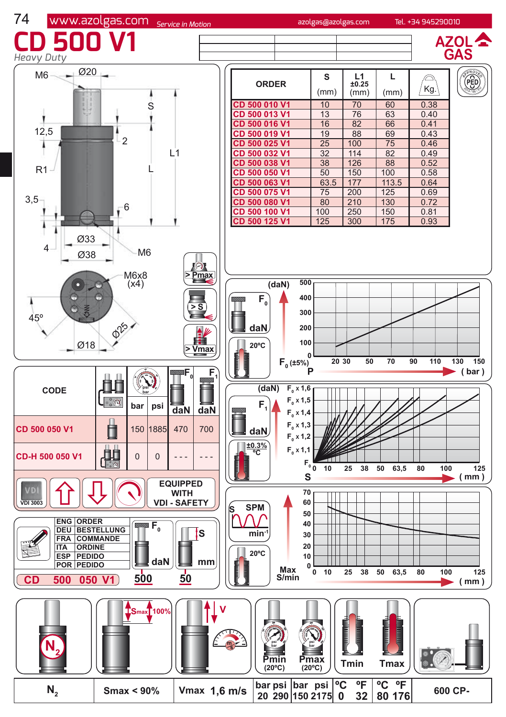